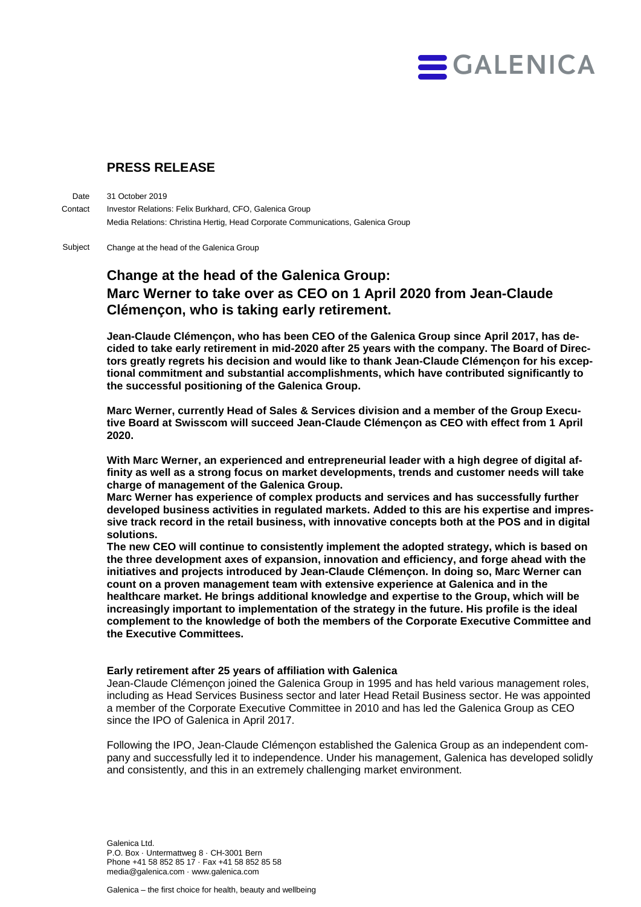

## **PRESS RELEASE**

31 October 2019 Investor Relations: Felix Burkhard, CFO, Galenica Group Media Relations: Christina Hertig, Head Corporate Communications, Galenica Group Date **Contact** 

Change at the head of the Galenica Group Subject

# **Change at the head of the Galenica Group: Marc Werner to take over as CEO on 1 April 2020 from Jean-Claude Clémençon, who is taking early retirement.**

**Jean-Claude Clémençon, who has been CEO of the Galenica Group since April 2017, has decided to take early retirement in mid-2020 after 25 years with the company. The Board of Directors greatly regrets his decision and would like to thank Jean-Claude Clémençon for his exceptional commitment and substantial accomplishments, which have contributed significantly to the successful positioning of the Galenica Group.** 

**Marc Werner, currently Head of Sales & Services division and a member of the Group Executive Board at Swisscom will succeed Jean-Claude Clémençon as CEO with effect from 1 April 2020.** 

**With Marc Werner, an experienced and entrepreneurial leader with a high degree of digital affinity as well as a strong focus on market developments, trends and customer needs will take charge of management of the Galenica Group.**

**Marc Werner has experience of complex products and services and has successfully further developed business activities in regulated markets. Added to this are his expertise and impressive track record in the retail business, with innovative concepts both at the POS and in digital solutions.** 

**The new CEO will continue to consistently implement the adopted strategy, which is based on the three development axes of expansion, innovation and efficiency, and forge ahead with the initiatives and projects introduced by Jean-Claude Clémençon. In doing so, Marc Werner can count on a proven management team with extensive experience at Galenica and in the healthcare market. He brings additional knowledge and expertise to the Group, which will be increasingly important to implementation of the strategy in the future. His profile is the ideal complement to the knowledge of both the members of the Corporate Executive Committee and the Executive Committees.** 

#### **Early retirement after 25 years of affiliation with Galenica**

Jean-Claude Clémençon joined the Galenica Group in 1995 and has held various management roles, including as Head Services Business sector and later Head Retail Business sector. He was appointed a member of the Corporate Executive Committee in 2010 and has led the Galenica Group as CEO since the IPO of Galenica in April 2017.

Following the IPO, Jean-Claude Clémençon established the Galenica Group as an independent company and successfully led it to independence. Under his management, Galenica has developed solidly and consistently, and this in an extremely challenging market environment.

Galenica Ltd. P.O. Box · Untermattweg 8 · CH-3001 Bern Phone +41 58 852 85 17 · Fax +41 58 852 85 58 media@galenica.com · www.galenica.com

Galenica – the first choice for health, beauty and wellbeing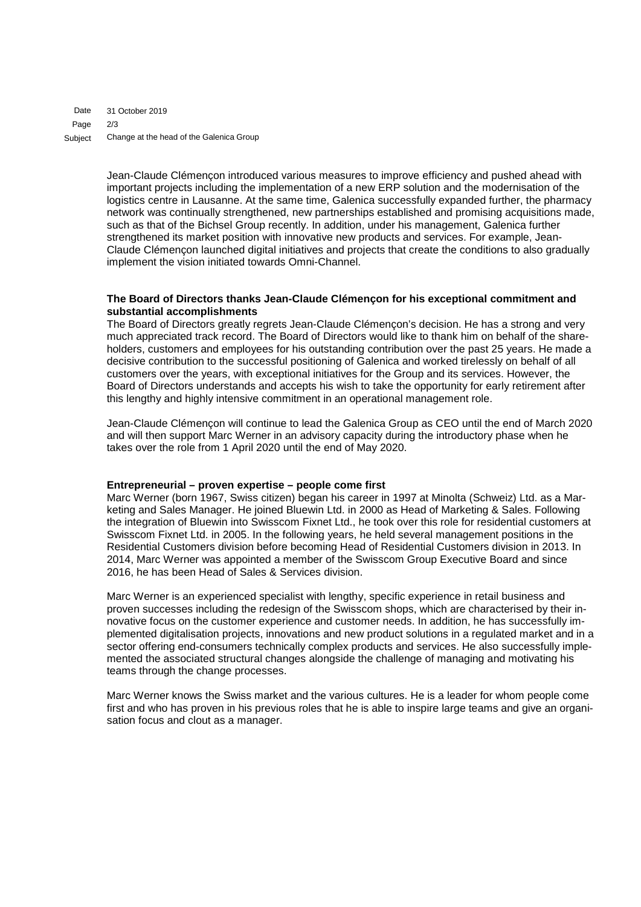31 October 2019 2/3 Change at the head of the Galenica Group Date Page Subject

> Jean-Claude Clémençon introduced various measures to improve efficiency and pushed ahead with important projects including the implementation of a new ERP solution and the modernisation of the logistics centre in Lausanne. At the same time, Galenica successfully expanded further, the pharmacy network was continually strengthened, new partnerships established and promising acquisitions made, such as that of the Bichsel Group recently. In addition, under his management, Galenica further strengthened its market position with innovative new products and services. For example, Jean-Claude Clémençon launched digital initiatives and projects that create the conditions to also gradually implement the vision initiated towards Omni-Channel.

#### **The Board of Directors thanks Jean-Claude Clémençon for his exceptional commitment and substantial accomplishments**

The Board of Directors greatly regrets Jean-Claude Clémençon's decision. He has a strong and very much appreciated track record. The Board of Directors would like to thank him on behalf of the shareholders, customers and employees for his outstanding contribution over the past 25 years. He made a decisive contribution to the successful positioning of Galenica and worked tirelessly on behalf of all customers over the years, with exceptional initiatives for the Group and its services. However, the Board of Directors understands and accepts his wish to take the opportunity for early retirement after this lengthy and highly intensive commitment in an operational management role.

Jean-Claude Clémençon will continue to lead the Galenica Group as CEO until the end of March 2020 and will then support Marc Werner in an advisory capacity during the introductory phase when he takes over the role from 1 April 2020 until the end of May 2020.

#### **Entrepreneurial – proven expertise – people come first**

Marc Werner (born 1967, Swiss citizen) began his career in 1997 at Minolta (Schweiz) Ltd. as a Marketing and Sales Manager. He joined Bluewin Ltd. in 2000 as Head of Marketing & Sales. Following the integration of Bluewin into Swisscom Fixnet Ltd., he took over this role for residential customers at Swisscom Fixnet Ltd. in 2005. In the following years, he held several management positions in the Residential Customers division before becoming Head of Residential Customers division in 2013. In 2014, Marc Werner was appointed a member of the Swisscom Group Executive Board and since 2016, he has been Head of Sales & Services division.

Marc Werner is an experienced specialist with lengthy, specific experience in retail business and proven successes including the redesign of the Swisscom shops, which are characterised by their innovative focus on the customer experience and customer needs. In addition, he has successfully implemented digitalisation projects, innovations and new product solutions in a regulated market and in a sector offering end-consumers technically complex products and services. He also successfully implemented the associated structural changes alongside the challenge of managing and motivating his teams through the change processes.

Marc Werner knows the Swiss market and the various cultures. He is a leader for whom people come first and who has proven in his previous roles that he is able to inspire large teams and give an organisation focus and clout as a manager.